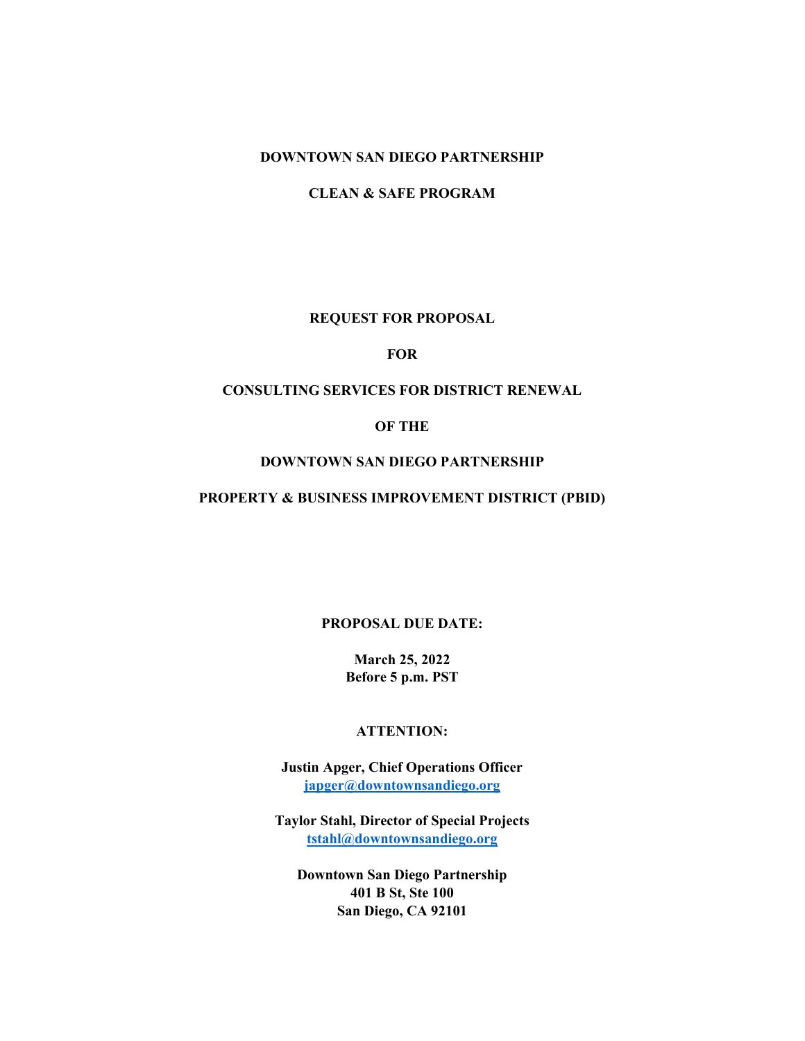#### **DOWNTOWN SAN DIEGO PARTNERSHIP**

**CLEAN & SAFE PROGRAM**

### **REQUEST FOR PROPOSAL**

#### **FOR**

### **CONSULTING SERVICES FOR DISTRICT RENEWAL**

#### **OF THE**

#### **DOWNTOWN SAN DIEGO PARTNERSHIP**

#### **PROPERTY & BUSINESS IMPROVEMENT DISTRICT (PBID)**

### **PROPOSAL DUE DATE:**

**March 25, 2022 Before 5 p.m. PST**

### **ATTENTION:**

**Justin Apger, Chief Operations Officer [japger@downtownsandiego.org](mailto:japger@downtownsandiego.org)**

**Taylor Stahl, Director of Special Projects [tstahl@downtownsandiego.org](mailto:tstahl@downtownsandiego.org)**

**Downtown San Diego Partnership 401 B St, Ste 100 San Diego, CA 92101**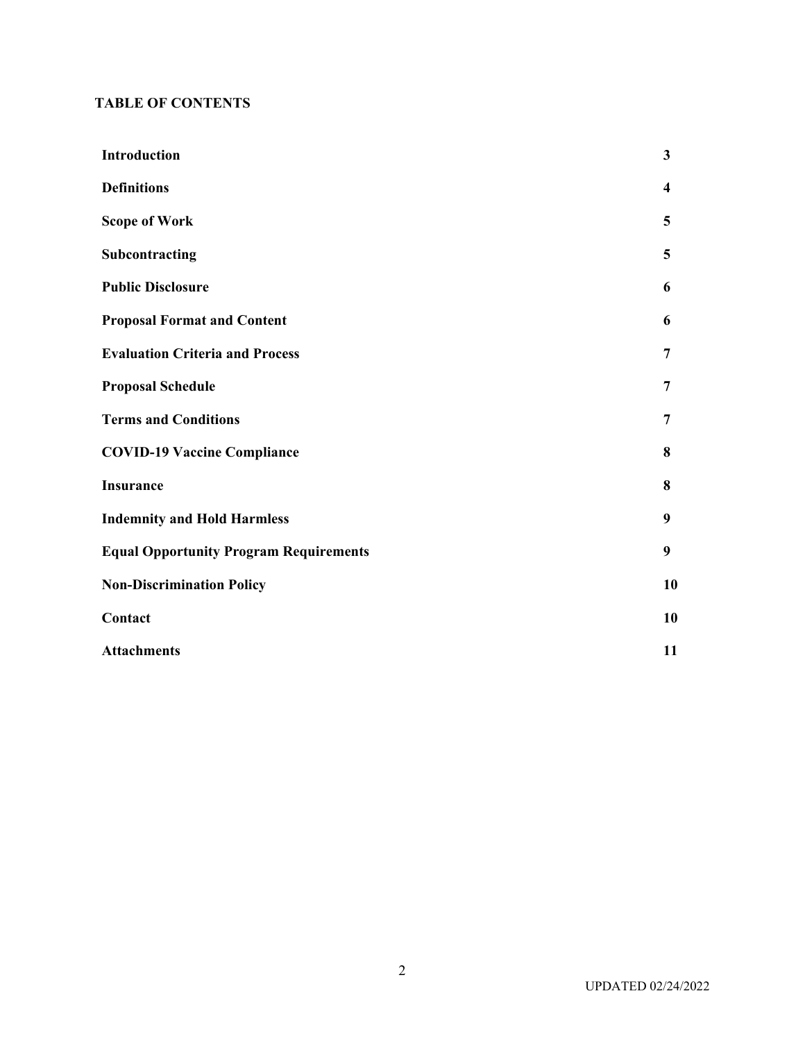### **TABLE OF CONTENTS**

| <b>Introduction</b>                           | 3                       |
|-----------------------------------------------|-------------------------|
| <b>Definitions</b>                            | $\overline{\mathbf{4}}$ |
| <b>Scope of Work</b>                          | 5                       |
| Subcontracting                                | 5                       |
| <b>Public Disclosure</b>                      | 6                       |
| <b>Proposal Format and Content</b>            | 6                       |
| <b>Evaluation Criteria and Process</b>        | $\overline{7}$          |
| <b>Proposal Schedule</b>                      | 7                       |
| <b>Terms and Conditions</b>                   | $\overline{7}$          |
| <b>COVID-19 Vaccine Compliance</b>            | 8                       |
| <b>Insurance</b>                              | 8                       |
| <b>Indemnity and Hold Harmless</b>            | 9                       |
| <b>Equal Opportunity Program Requirements</b> | 9                       |
| <b>Non-Discrimination Policy</b>              | 10                      |
| Contact                                       | 10                      |
| <b>Attachments</b>                            | 11                      |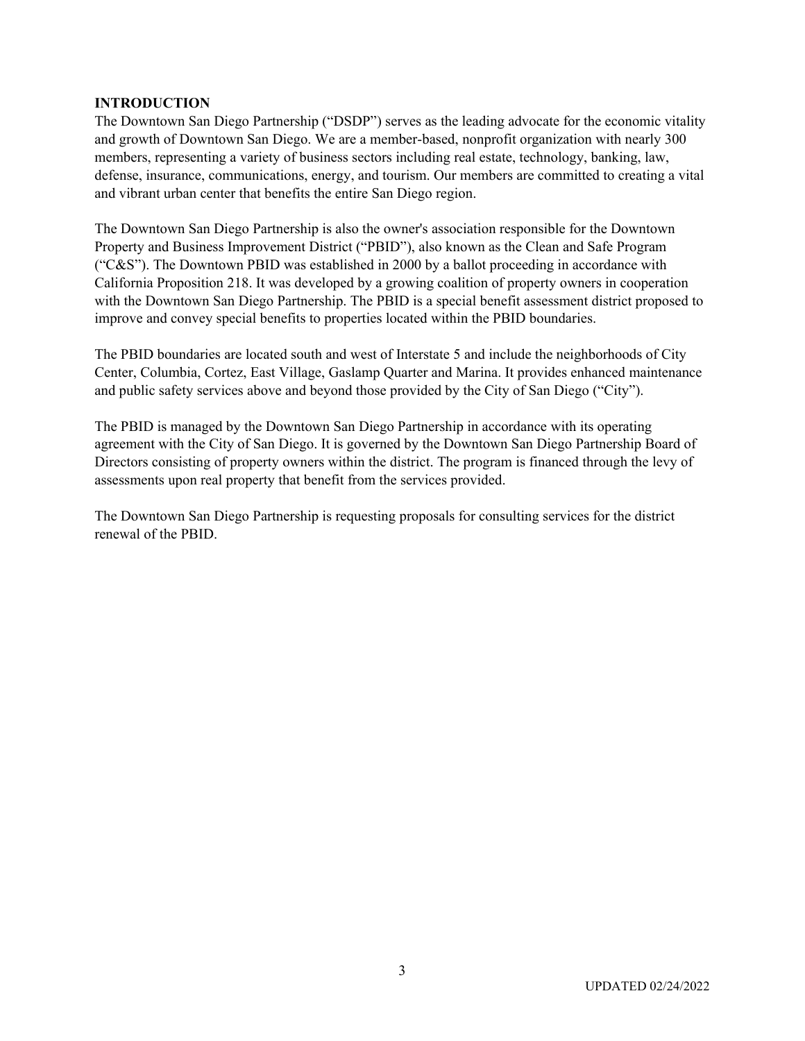#### **INTRODUCTION**

The Downtown San Diego Partnership ("DSDP") serves as the leading advocate for the economic vitality and growth of Downtown San Diego. We are a member-based, nonprofit organization with nearly 300 members, representing a variety of business sectors including real estate, technology, banking, law, defense, insurance, communications, energy, and tourism. Our members are committed to creating a vital and vibrant urban center that benefits the entire San Diego region.

The Downtown San Diego Partnership is also the owner's association responsible for the Downtown Property and Business Improvement District ("PBID"), also known as the Clean and Safe Program ("C&S"). The Downtown PBID was established in 2000 by a ballot proceeding in accordance with California Proposition 218. It was developed by a growing coalition of property owners in cooperation with the Downtown San Diego Partnership. The PBID is a special benefit assessment district proposed to improve and convey special benefits to properties located within the PBID boundaries.

The PBID boundaries are located south and west of Interstate 5 and include the neighborhoods of City Center, Columbia, Cortez, East Village, Gaslamp Quarter and Marina. It provides enhanced maintenance and public safety services above and beyond those provided by the City of San Diego ("City").

The PBID is managed by the Downtown San Diego Partnership in accordance with its operating agreement with the City of San Diego. It is governed by the Downtown San Diego Partnership Board of Directors consisting of property owners within the district. The program is financed through the levy of assessments upon real property that benefit from the services provided.

The Downtown San Diego Partnership is requesting proposals for consulting services for the district renewal of the PBID.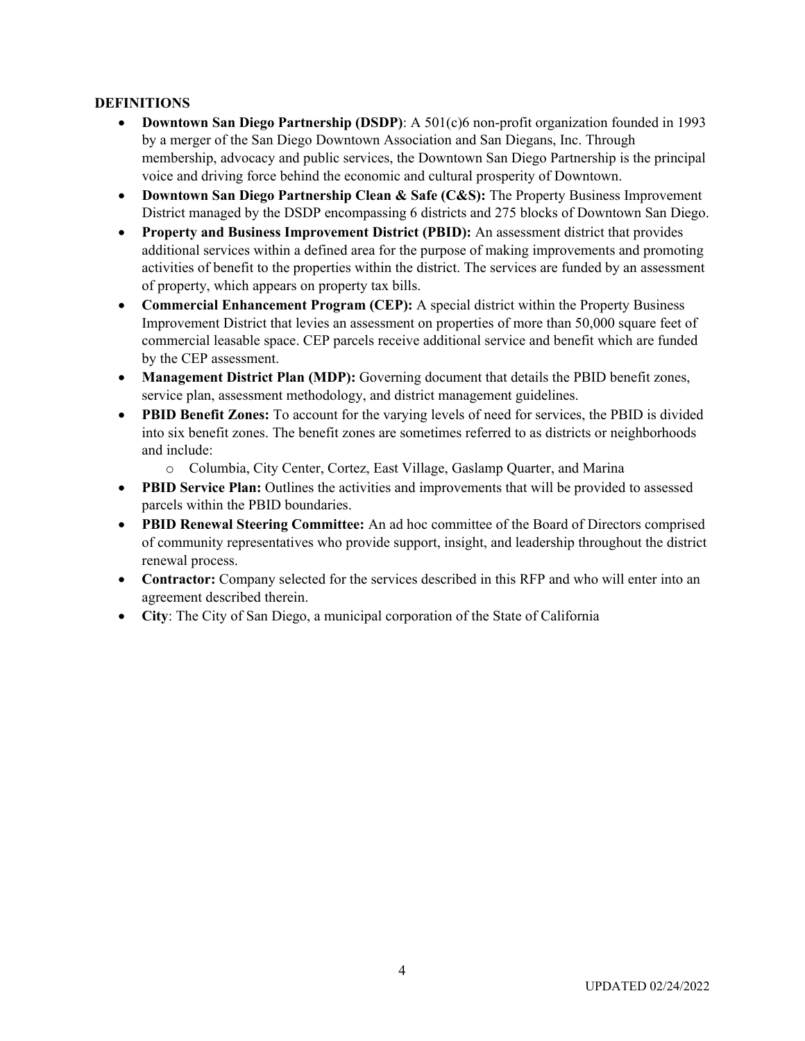### **DEFINITIONS**

- **Downtown San Diego Partnership (DSDP)**: A 501(c)6 non-profit organization founded in 1993 by a merger of the San Diego Downtown Association and San Diegans, Inc. Through membership, advocacy and public services, the Downtown San Diego Partnership is the principal voice and driving force behind the economic and cultural prosperity of Downtown.
- **Downtown San Diego Partnership Clean & Safe (C&S):** The Property Business Improvement District managed by the DSDP encompassing 6 districts and 275 blocks of Downtown San Diego.
- **Property and Business Improvement District (PBID):** An assessment district that provides additional services within a defined area for the purpose of making improvements and promoting activities of benefit to the properties within the district. The services are funded by an assessment of property, which appears on property tax bills.
- **Commercial Enhancement Program (CEP):** A special district within the Property Business Improvement District that levies an assessment on properties of more than 50,000 square feet of commercial leasable space. CEP parcels receive additional service and benefit which are funded by the CEP assessment.
- **Management District Plan (MDP):** Governing document that details the PBID benefit zones, service plan, assessment methodology, and district management guidelines.
- **PBID Benefit Zones:** To account for the varying levels of need for services, the PBID is divided into six benefit zones. The benefit zones are sometimes referred to as districts or neighborhoods and include:
	- o Columbia, City Center, Cortez, East Village, Gaslamp Quarter, and Marina
- **PBID Service Plan:** Outlines the activities and improvements that will be provided to assessed parcels within the PBID boundaries.
- **PBID Renewal Steering Committee:** An ad hoc committee of the Board of Directors comprised of community representatives who provide support, insight, and leadership throughout the district renewal process.
- **Contractor:** Company selected for the services described in this RFP and who will enter into an agreement described therein.
- **City**: The City of San Diego, a municipal corporation of the State of California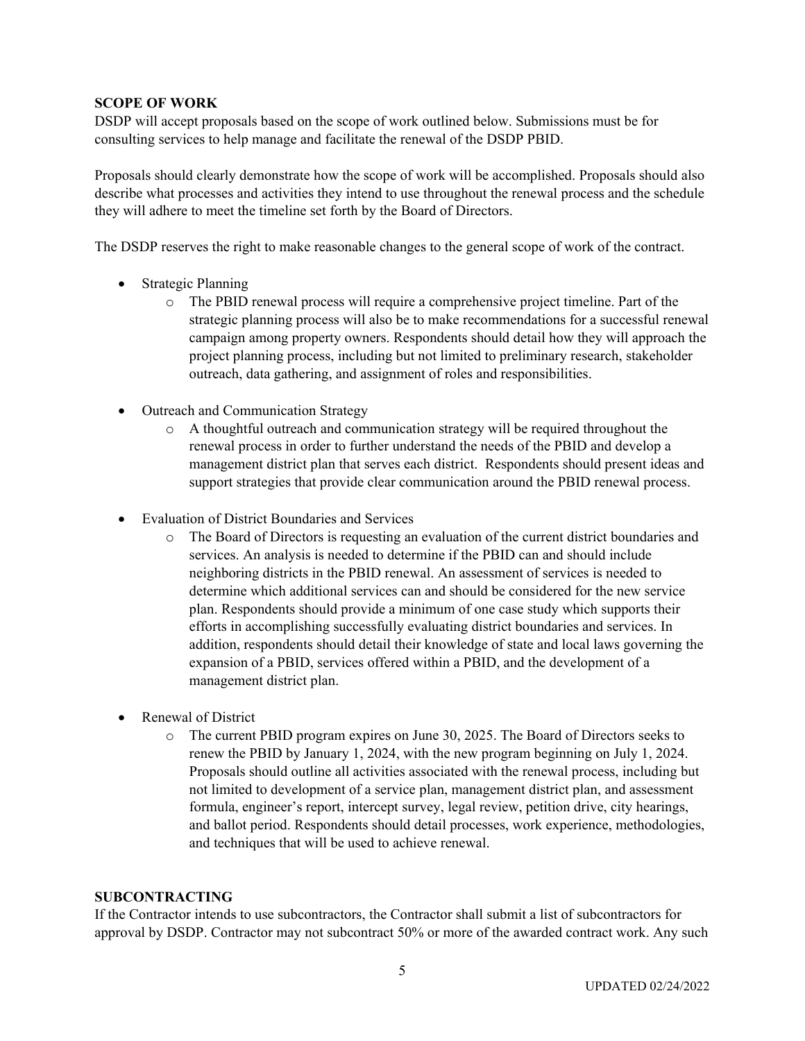### **SCOPE OF WORK**

DSDP will accept proposals based on the scope of work outlined below. Submissions must be for consulting services to help manage and facilitate the renewal of the DSDP PBID.

Proposals should clearly demonstrate how the scope of work will be accomplished. Proposals should also describe what processes and activities they intend to use throughout the renewal process and the schedule they will adhere to meet the timeline set forth by the Board of Directors.

The DSDP reserves the right to make reasonable changes to the general scope of work of the contract.

- Strategic Planning
	- o The PBID renewal process will require a comprehensive project timeline. Part of the strategic planning process will also be to make recommendations for a successful renewal campaign among property owners. Respondents should detail how they will approach the project planning process, including but not limited to preliminary research, stakeholder outreach, data gathering, and assignment of roles and responsibilities.
- Outreach and Communication Strategy
	- o A thoughtful outreach and communication strategy will be required throughout the renewal process in order to further understand the needs of the PBID and develop a management district plan that serves each district. Respondents should present ideas and support strategies that provide clear communication around the PBID renewal process.
- Evaluation of District Boundaries and Services
	- o The Board of Directors is requesting an evaluation of the current district boundaries and services. An analysis is needed to determine if the PBID can and should include neighboring districts in the PBID renewal. An assessment of services is needed to determine which additional services can and should be considered for the new service plan. Respondents should provide a minimum of one case study which supports their efforts in accomplishing successfully evaluating district boundaries and services. In addition, respondents should detail their knowledge of state and local laws governing the expansion of a PBID, services offered within a PBID, and the development of a management district plan.
- Renewal of District
	- o The current PBID program expires on June 30, 2025. The Board of Directors seeks to renew the PBID by January 1, 2024, with the new program beginning on July 1, 2024. Proposals should outline all activities associated with the renewal process, including but not limited to development of a service plan, management district plan, and assessment formula, engineer's report, intercept survey, legal review, petition drive, city hearings, and ballot period. Respondents should detail processes, work experience, methodologies, and techniques that will be used to achieve renewal.

### **SUBCONTRACTING**

If the Contractor intends to use subcontractors, the Contractor shall submit a list of subcontractors for approval by DSDP. Contractor may not subcontract 50% or more of the awarded contract work. Any such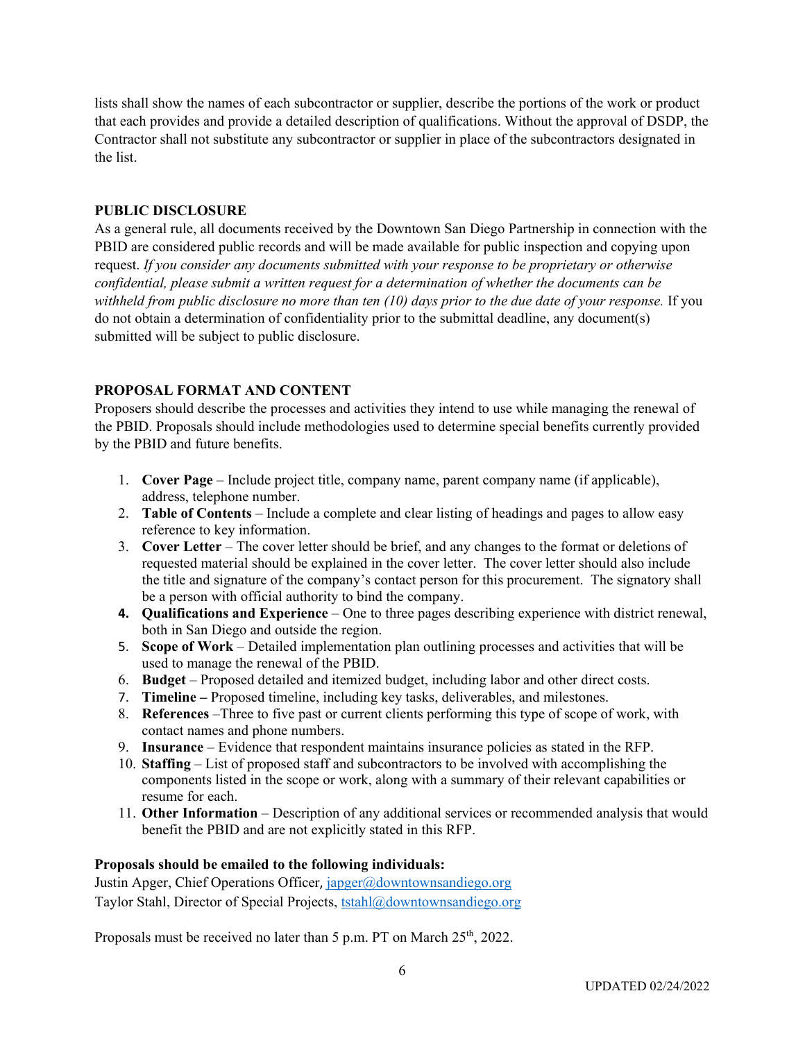lists shall show the names of each subcontractor or supplier, describe the portions of the work or product that each provides and provide a detailed description of qualifications. Without the approval of DSDP, the Contractor shall not substitute any subcontractor or supplier in place of the subcontractors designated in the list.

### **PUBLIC DISCLOSURE**

As a general rule, all documents received by the Downtown San Diego Partnership in connection with the PBID are considered public records and will be made available for public inspection and copying upon request. *If you consider any documents submitted with your response to be proprietary or otherwise confidential, please submit a written request for a determination of whether the documents can be withheld from public disclosure no more than ten (10) days prior to the due date of your response.* If you do not obtain a determination of confidentiality prior to the submittal deadline, any document(s) submitted will be subject to public disclosure.

### **PROPOSAL FORMAT AND CONTENT**

Proposers should describe the processes and activities they intend to use while managing the renewal of the PBID. Proposals should include methodologies used to determine special benefits currently provided by the PBID and future benefits.

- 1. **Cover Page** Include project title, company name, parent company name (if applicable), address, telephone number.
- 2. **Table of Contents** Include a complete and clear listing of headings and pages to allow easy reference to key information.
- 3. **Cover Letter** The cover letter should be brief, and any changes to the format or deletions of requested material should be explained in the cover letter. The cover letter should also include the title and signature of the company's contact person for this procurement. The signatory shall be a person with official authority to bind the company.
- **4. Qualifications and Experience** One to three pages describing experience with district renewal, both in San Diego and outside the region.
- 5. **Scope of Work** Detailed implementation plan outlining processes and activities that will be used to manage the renewal of the PBID.
- 6. **Budget** Proposed detailed and itemized budget, including labor and other direct costs.
- 7. **Timeline –** Proposed timeline, including key tasks, deliverables, and milestones.
- 8. **References** –Three to five past or current clients performing this type of scope of work, with contact names and phone numbers.
- 9. **Insurance**  Evidence that respondent maintains insurance policies as stated in the RFP.
- 10. **Staffing** List of proposed staff and subcontractors to be involved with accomplishing the components listed in the scope or work, along with a summary of their relevant capabilities or resume for each.
- 11. **Other Information** Description of any additional services or recommended analysis that would benefit the PBID and are not explicitly stated in this RFP.

### **Proposals should be emailed to the following individuals:**

Justin Apger, Chief Operations Officer, [japger@downtownsandiego.org](mailto:japger@downtownsandiego.org) Taylor Stahl, Director of Special Projects, [tstahl@downtownsandiego.org](mailto:tstahl@downtownsandiego.org)

Proposals must be received no later than 5 p.m. PT on March 25<sup>th</sup>, 2022.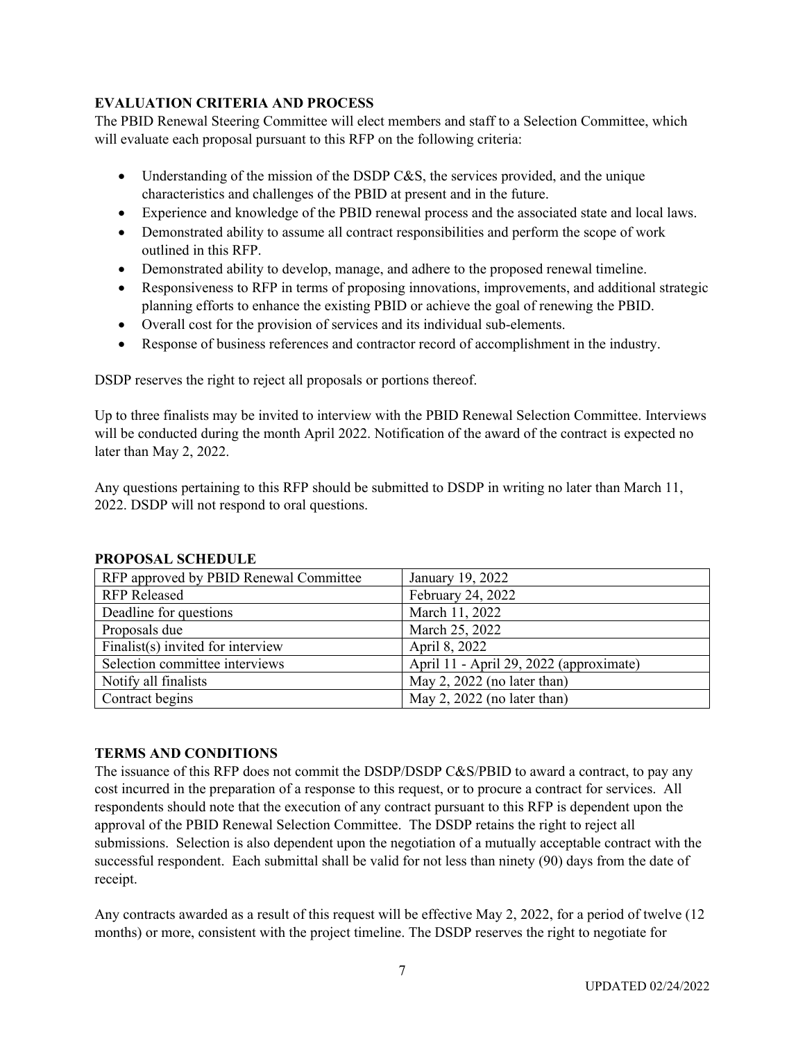### **EVALUATION CRITERIA AND PROCESS**

The PBID Renewal Steering Committee will elect members and staff to a Selection Committee, which will evaluate each proposal pursuant to this RFP on the following criteria:

- Understanding of the mission of the DSDP C&S, the services provided, and the unique characteristics and challenges of the PBID at present and in the future.
- Experience and knowledge of the PBID renewal process and the associated state and local laws.
- Demonstrated ability to assume all contract responsibilities and perform the scope of work outlined in this RFP.
- Demonstrated ability to develop, manage, and adhere to the proposed renewal timeline.
- Responsiveness to RFP in terms of proposing innovations, improvements, and additional strategic planning efforts to enhance the existing PBID or achieve the goal of renewing the PBID.
- Overall cost for the provision of services and its individual sub-elements.
- Response of business references and contractor record of accomplishment in the industry.

DSDP reserves the right to reject all proposals or portions thereof.

Up to three finalists may be invited to interview with the PBID Renewal Selection Committee. Interviews will be conducted during the month April 2022. Notification of the award of the contract is expected no later than May 2, 2022.

Any questions pertaining to this RFP should be submitted to DSDP in writing no later than March 11, 2022. DSDP will not respond to oral questions.

| RFP approved by PBID Renewal Committee | January 19, 2022                        |
|----------------------------------------|-----------------------------------------|
| <b>RFP Released</b>                    | February 24, 2022                       |
| Deadline for questions                 | March 11, 2022                          |
| Proposals due                          | March 25, 2022                          |
| Finalist(s) invited for interview      | April 8, 2022                           |
| Selection committee interviews         | April 11 - April 29, 2022 (approximate) |
| Notify all finalists                   | May 2, 2022 (no later than)             |
| Contract begins                        | May 2, 2022 (no later than)             |

### **PROPOSAL SCHEDULE**

### **TERMS AND CONDITIONS**

The issuance of this RFP does not commit the DSDP/DSDP C&S/PBID to award a contract, to pay any cost incurred in the preparation of a response to this request, or to procure a contract for services. All respondents should note that the execution of any contract pursuant to this RFP is dependent upon the approval of the PBID Renewal Selection Committee. The DSDP retains the right to reject all submissions. Selection is also dependent upon the negotiation of a mutually acceptable contract with the successful respondent. Each submittal shall be valid for not less than ninety (90) days from the date of receipt.

Any contracts awarded as a result of this request will be effective May 2, 2022, for a period of twelve (12 months) or more, consistent with the project timeline. The DSDP reserves the right to negotiate for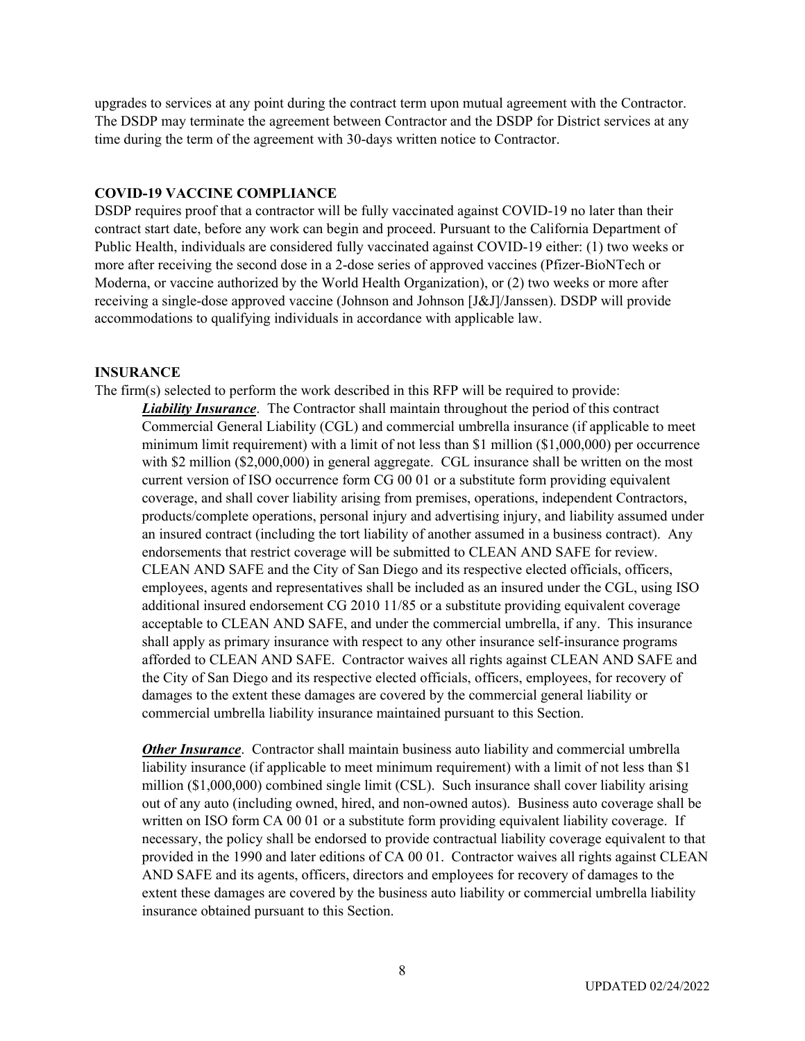upgrades to services at any point during the contract term upon mutual agreement with the Contractor. The DSDP may terminate the agreement between Contractor and the DSDP for District services at any time during the term of the agreement with 30-days written notice to Contractor.

#### **COVID-19 VACCINE COMPLIANCE**

DSDP requires proof that a contractor will be fully vaccinated against COVID-19 no later than their contract start date, before any work can begin and proceed. Pursuant to the California Department of Public Health, individuals are considered fully vaccinated against COVID-19 either: (1) two weeks or more after receiving the second dose in a 2-dose series of approved vaccines (Pfizer-BioNTech or Moderna, or vaccine authorized by the World Health Organization), or (2) two weeks or more after receiving a single-dose approved vaccine (Johnson and Johnson [J&J]/Janssen). DSDP will provide accommodations to qualifying individuals in accordance with applicable law.

#### **INSURANCE**

The firm(s) selected to perform the work described in this RFP will be required to provide:

*Liability Insurance*. The Contractor shall maintain throughout the period of this contract Commercial General Liability (CGL) and commercial umbrella insurance (if applicable to meet minimum limit requirement) with a limit of not less than \$1 million (\$1,000,000) per occurrence with \$2 million (\$2,000,000) in general aggregate. CGL insurance shall be written on the most current version of ISO occurrence form CG 00 01 or a substitute form providing equivalent coverage, and shall cover liability arising from premises, operations, independent Contractors, products/complete operations, personal injury and advertising injury, and liability assumed under an insured contract (including the tort liability of another assumed in a business contract). Any endorsements that restrict coverage will be submitted to CLEAN AND SAFE for review. CLEAN AND SAFE and the City of San Diego and its respective elected officials, officers, employees, agents and representatives shall be included as an insured under the CGL, using ISO additional insured endorsement CG 2010 11/85 or a substitute providing equivalent coverage acceptable to CLEAN AND SAFE, and under the commercial umbrella, if any. This insurance shall apply as primary insurance with respect to any other insurance self-insurance programs afforded to CLEAN AND SAFE. Contractor waives all rights against CLEAN AND SAFE and the City of San Diego and its respective elected officials, officers, employees, for recovery of damages to the extent these damages are covered by the commercial general liability or commercial umbrella liability insurance maintained pursuant to this Section.

*Other Insurance*. Contractor shall maintain business auto liability and commercial umbrella liability insurance (if applicable to meet minimum requirement) with a limit of not less than \$1 million (\$1,000,000) combined single limit (CSL). Such insurance shall cover liability arising out of any auto (including owned, hired, and non-owned autos). Business auto coverage shall be written on ISO form CA 00 01 or a substitute form providing equivalent liability coverage. If necessary, the policy shall be endorsed to provide contractual liability coverage equivalent to that provided in the 1990 and later editions of CA 00 01. Contractor waives all rights against CLEAN AND SAFE and its agents, officers, directors and employees for recovery of damages to the extent these damages are covered by the business auto liability or commercial umbrella liability insurance obtained pursuant to this Section.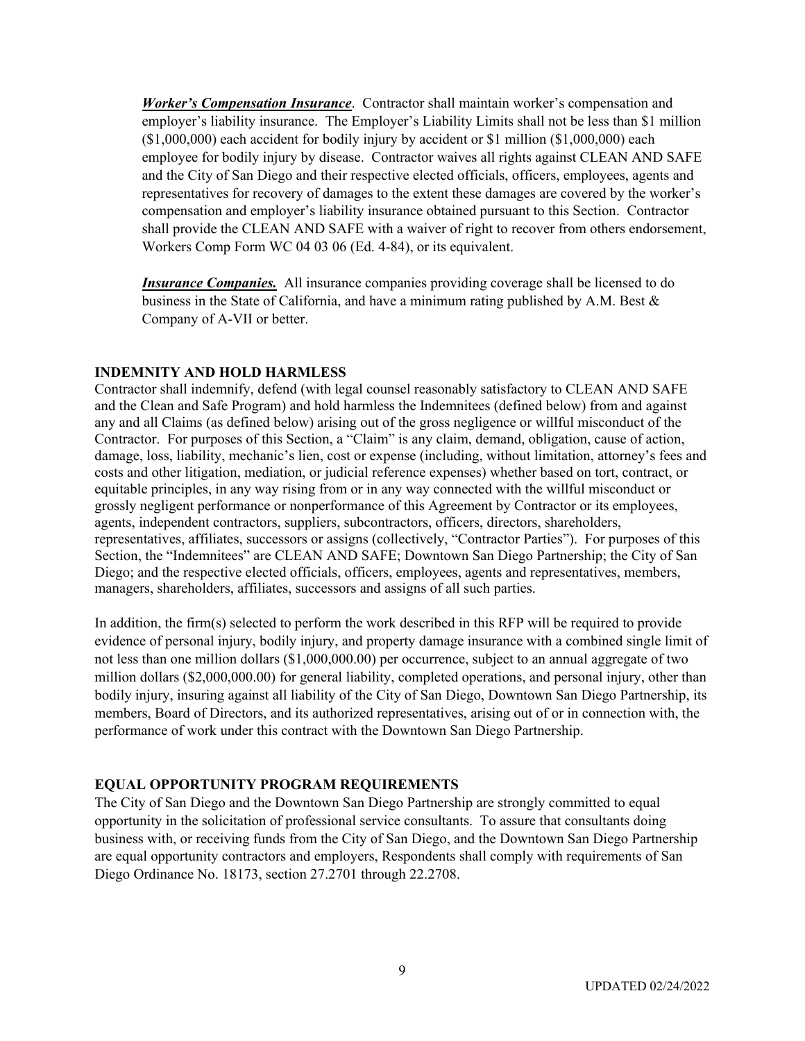*Worker's Compensation Insurance*. Contractor shall maintain worker's compensation and employer's liability insurance. The Employer's Liability Limits shall not be less than \$1 million (\$1,000,000) each accident for bodily injury by accident or \$1 million (\$1,000,000) each employee for bodily injury by disease. Contractor waives all rights against CLEAN AND SAFE and the City of San Diego and their respective elected officials, officers, employees, agents and representatives for recovery of damages to the extent these damages are covered by the worker's compensation and employer's liability insurance obtained pursuant to this Section. Contractor shall provide the CLEAN AND SAFE with a waiver of right to recover from others endorsement, Workers Comp Form WC 04 03 06 (Ed. 4-84), or its equivalent.

*Insurance Companies.* All insurance companies providing coverage shall be licensed to do business in the State of California, and have a minimum rating published by A.M. Best  $\&$ Company of A-VII or better.

### **INDEMNITY AND HOLD HARMLESS**

Contractor shall indemnify, defend (with legal counsel reasonably satisfactory to CLEAN AND SAFE and the Clean and Safe Program) and hold harmless the Indemnitees (defined below) from and against any and all Claims (as defined below) arising out of the gross negligence or willful misconduct of the Contractor. For purposes of this Section, a "Claim" is any claim, demand, obligation, cause of action, damage, loss, liability, mechanic's lien, cost or expense (including, without limitation, attorney's fees and costs and other litigation, mediation, or judicial reference expenses) whether based on tort, contract, or equitable principles, in any way rising from or in any way connected with the willful misconduct or grossly negligent performance or nonperformance of this Agreement by Contractor or its employees, agents, independent contractors, suppliers, subcontractors, officers, directors, shareholders, representatives, affiliates, successors or assigns (collectively, "Contractor Parties"). For purposes of this Section, the "Indemnitees" are CLEAN AND SAFE; Downtown San Diego Partnership; the City of San Diego; and the respective elected officials, officers, employees, agents and representatives, members, managers, shareholders, affiliates, successors and assigns of all such parties.

In addition, the firm(s) selected to perform the work described in this RFP will be required to provide evidence of personal injury, bodily injury, and property damage insurance with a combined single limit of not less than one million dollars (\$1,000,000.00) per occurrence, subject to an annual aggregate of two million dollars (\$2,000,000.00) for general liability, completed operations, and personal injury, other than bodily injury, insuring against all liability of the City of San Diego, Downtown San Diego Partnership, its members, Board of Directors, and its authorized representatives, arising out of or in connection with, the performance of work under this contract with the Downtown San Diego Partnership.

### **EQUAL OPPORTUNITY PROGRAM REQUIREMENTS**

The City of San Diego and the Downtown San Diego Partnership are strongly committed to equal opportunity in the solicitation of professional service consultants. To assure that consultants doing business with, or receiving funds from the City of San Diego, and the Downtown San Diego Partnership are equal opportunity contractors and employers, Respondents shall comply with requirements of San Diego Ordinance No. 18173, section 27.2701 through 22.2708.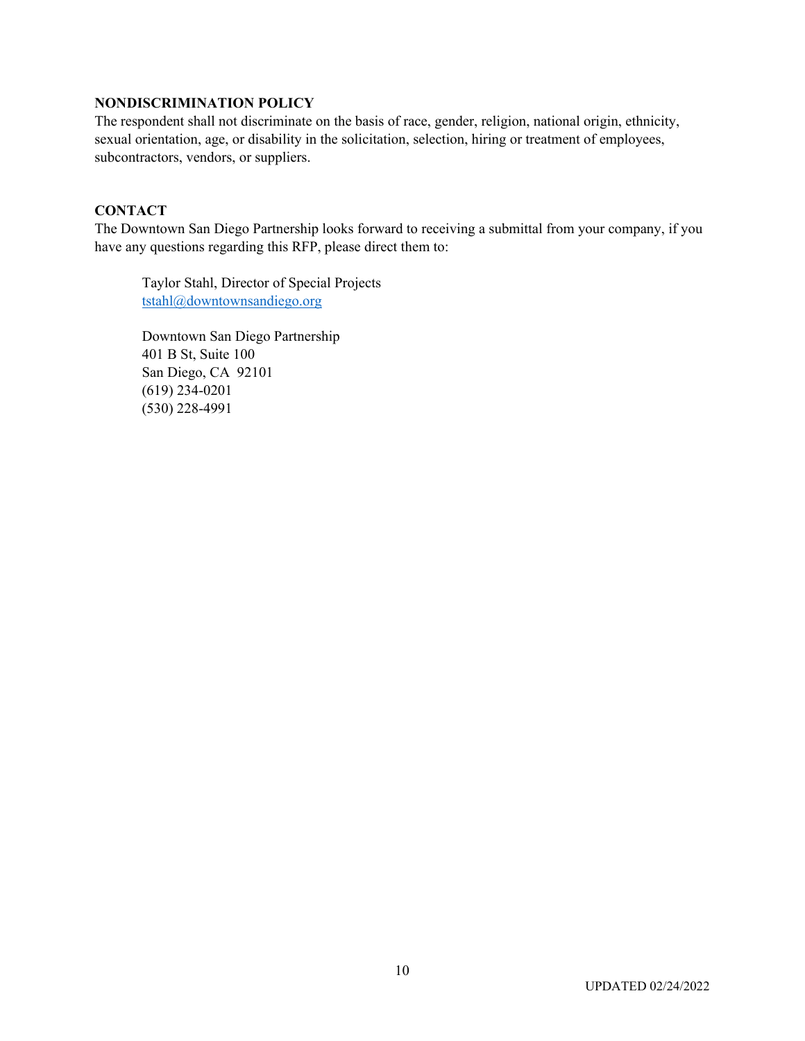### **NONDISCRIMINATION POLICY**

The respondent shall not discriminate on the basis of race, gender, religion, national origin, ethnicity, sexual orientation, age, or disability in the solicitation, selection, hiring or treatment of employees, subcontractors, vendors, or suppliers.

### **CONTACT**

The Downtown San Diego Partnership looks forward to receiving a submittal from your company, if you have any questions regarding this RFP, please direct them to:

Taylor Stahl, Director of Special Projects [tstahl@downtownsandiego.org](mailto:tstahl@downtownsandiego.org)

Downtown San Diego Partnership 401 B St, Suite 100 San Diego, CA 92101 (619) 234-0201 (530) 228-4991